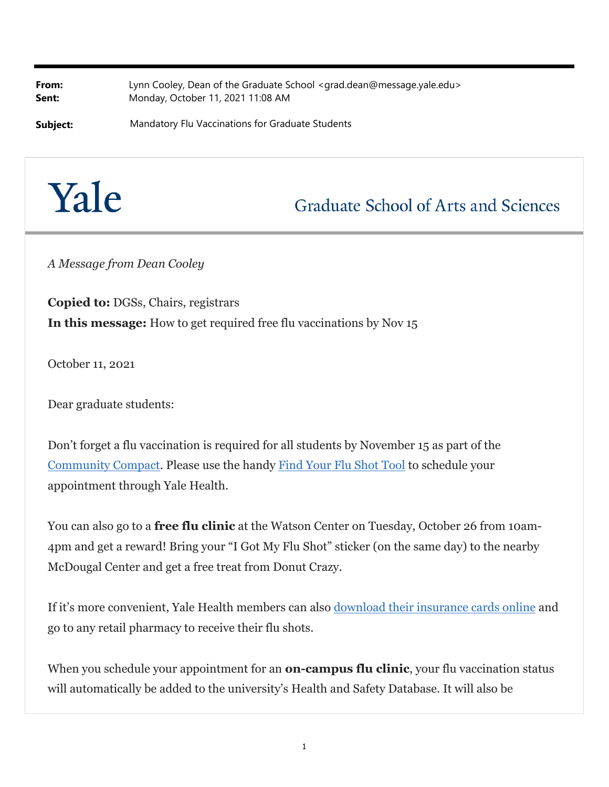**From:** Lynn Cooley, Dean of the Graduate School <grad.dean@message.yale.edu> **Sent:** Monday, October 11, 2021 11:08 AM

**Subject:** Mandatory Flu Vaccinations for Graduate Students



## **Graduate School of Arts and Sciences**

*A Message from Dean Cooley*

**Copied to:** DGSs, Chairs, registrars **In this message:** How to get required free flu vaccinations by Nov 15

October 11, 2021

Dear graduate students:

Don't forget a flu vaccination is required for all students by November 15 as part of the Community Compact. Please use the handy Find Your Flu Shot Tool to schedule your appointment through Yale Health.

You can also go to a **free flu clinic** at the Watson Center on Tuesday, October 26 from 10am-4pm and get a reward! Bring your "I Got My Flu Shot" sticker (on the same day) to the nearby McDougal Center and get a free treat from Donut Crazy.

If it's more convenient, Yale Health members can also download their insurance cards online and go to any retail pharmacy to receive their flu shots.

When you schedule your appointment for an **on-campus flu clinic**, your flu vaccination status will automatically be added to the university's Health and Safety Database. It will also be